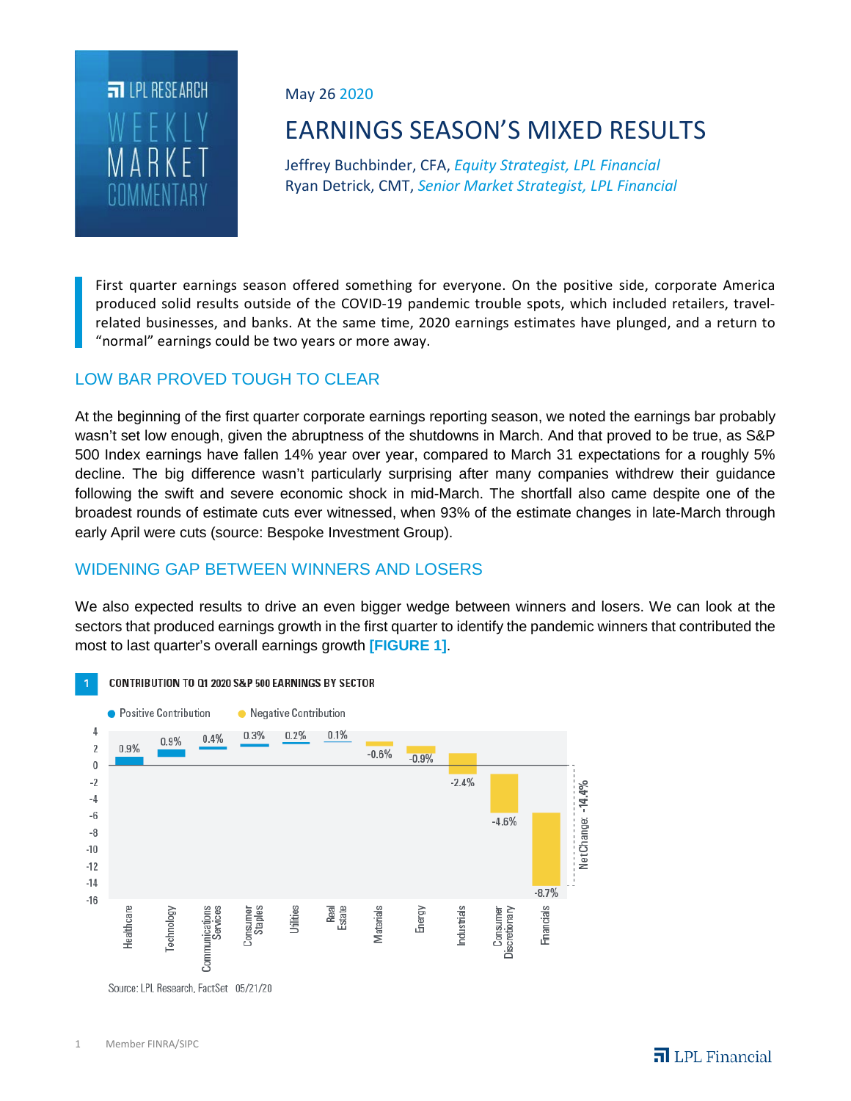

May 26 2020

# EARNINGS SEASON'S MIXED RESULTS

Jeffrey Buchbinder, CFA, *Equity Strategist, LPL Financial* Ryan Detrick, CMT, *Senior Market Strategist, LPL Financial*

First quarter earnings season offered something for everyone. On the positive side, corporate America produced solid results outside of the COVID-19 pandemic trouble spots, which included retailers, travelrelated businesses, and banks. At the same time, 2020 earnings estimates have plunged, and a return to "normal" earnings could be two years or more away.

# LOW BAR PROVED TOUGH TO CLEAR

At the beginning of the first quarter corporate earnings reporting season, we noted the earnings bar probably wasn't set low enough, given the abruptness of the shutdowns in March. And that proved to be true, as S&P 500 Index earnings have fallen 14% year over year, compared to March 31 expectations for a roughly 5% decline. The big difference wasn't particularly surprising after many companies withdrew their guidance following the swift and severe economic shock in mid-March. The shortfall also came despite one of the broadest rounds of estimate cuts ever witnessed, when 93% of the estimate changes in late-March through early April were cuts (source: Bespoke Investment Group).

## WIDENING GAP BETWEEN WINNERS AND LOSERS

We also expected results to drive an even bigger wedge between winners and losers. We can look at the sectors that produced earnings growth in the first quarter to identify the pandemic winners that contributed the most to last quarter's overall earnings growth **[FIGURE 1]**.



CONTRIBUTION TO Q1 2020 S&P 500 EARNINGS BY SECTOR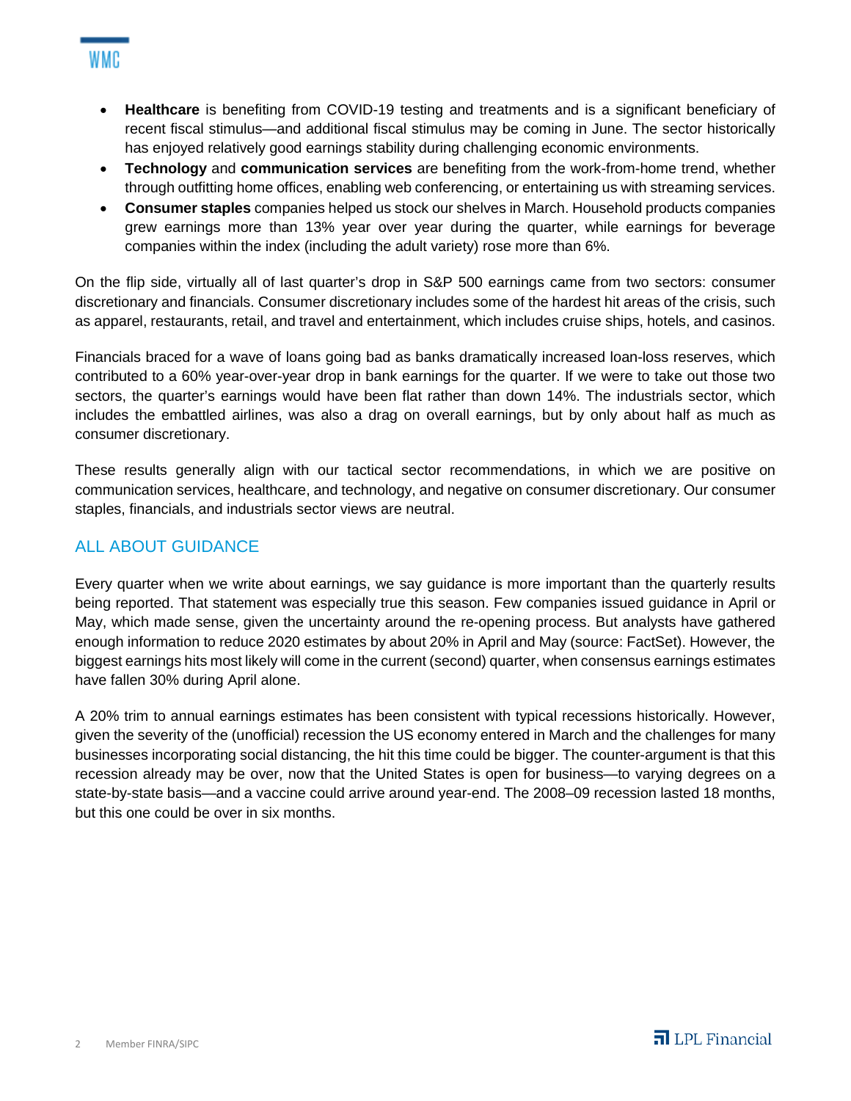- **Healthcare** is benefiting from COVID-19 testing and treatments and is a significant beneficiary of recent fiscal stimulus—and additional fiscal stimulus may be coming in June. The sector historically has enjoyed relatively good earnings stability during challenging economic environments.
- **Technology** and **communication services** are benefiting from the work-from-home trend, whether through outfitting home offices, enabling web conferencing, or entertaining us with streaming services.
- **Consumer staples** companies helped us stock our shelves in March. Household products companies grew earnings more than 13% year over year during the quarter, while earnings for beverage companies within the index (including the adult variety) rose more than 6%.

On the flip side, virtually all of last quarter's drop in S&P 500 earnings came from two sectors: consumer discretionary and financials. Consumer discretionary includes some of the hardest hit areas of the crisis, such as apparel, restaurants, retail, and travel and entertainment, which includes cruise ships, hotels, and casinos.

Financials braced for a wave of loans going bad as banks dramatically increased loan-loss reserves, which contributed to a 60% year-over-year drop in bank earnings for the quarter. If we were to take out those two sectors, the quarter's earnings would have been flat rather than down 14%. The industrials sector, which includes the embattled airlines, was also a drag on overall earnings, but by only about half as much as consumer discretionary.

These results generally align with our tactical sector recommendations, in which we are positive on communication services, healthcare, and technology, and negative on consumer discretionary. Our consumer staples, financials, and industrials sector views are neutral.

## ALL ABOUT GUIDANCE

Every quarter when we write about earnings, we say guidance is more important than the quarterly results being reported. That statement was especially true this season. Few companies issued guidance in April or May, which made sense, given the uncertainty around the re-opening process. But analysts have gathered enough information to reduce 2020 estimates by about 20% in April and May (source: FactSet). However, the biggest earnings hits most likely will come in the current (second) quarter, when consensus earnings estimates have fallen 30% during April alone.

A 20% trim to annual earnings estimates has been consistent with typical recessions historically. However, given the severity of the (unofficial) recession the US economy entered in March and the challenges for many businesses incorporating social distancing, the hit this time could be bigger. The counter-argument is that this recession already may be over, now that the United States is open for business—to varying degrees on a state-by-state basis—and a vaccine could arrive around year-end. The 2008–09 recession lasted 18 months, but this one could be over in six months.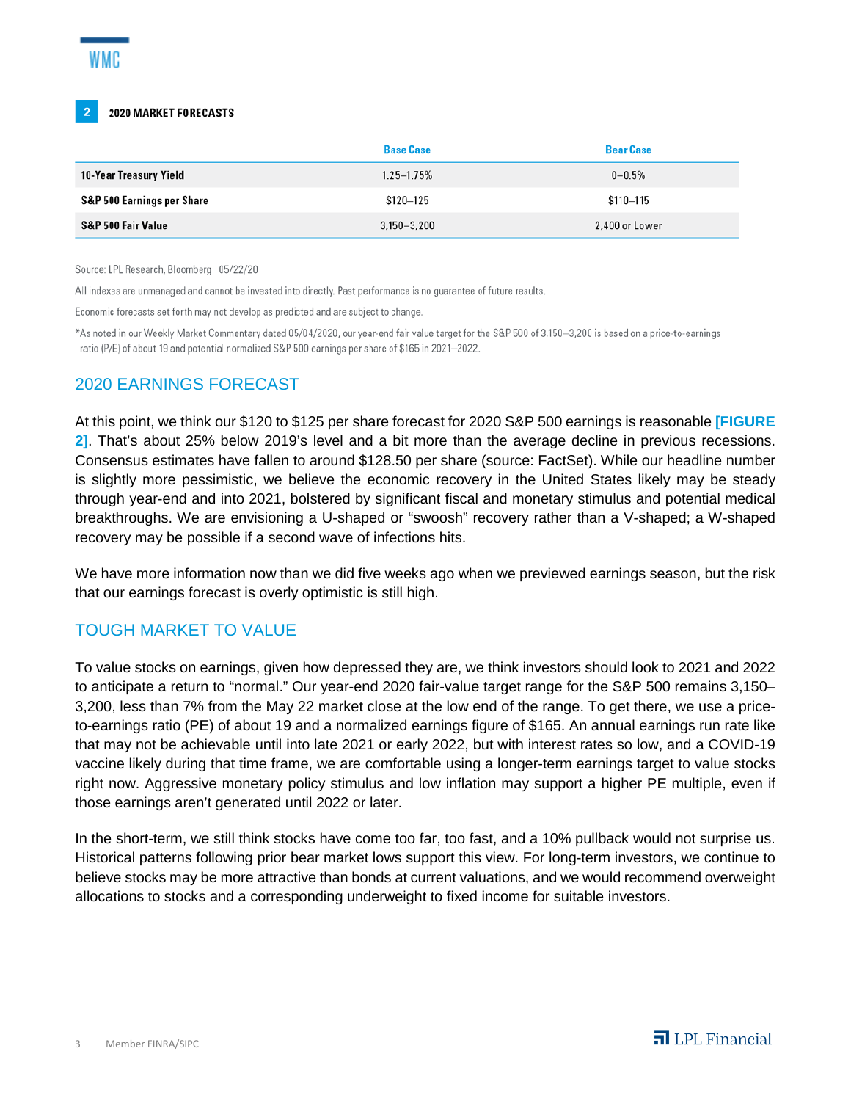

#### 2020 MARKET FORECASTS

|                            | <b>Base Case</b> | <b>Bear Case</b> |
|----------------------------|------------------|------------------|
| 10-Year Treasury Yield     | $1.25 - 1.75%$   | $0 - 0.5%$       |
| S&P 500 Earnings per Share | $$120 - 125$     | $$110 - 115$     |
| S&P 500 Fair Value         | $3,150 - 3,200$  | 2,400 or Lower   |

Source: LPL Research, Bloomberg 05/22/20

All indexes are unmanaged and cannot be invested into directly. Past performance is no guarantee of future results.

Economic forecasts set forth may not develop as predicted and are subject to change.

\*As noted in our Weekly Market Commentary dated 05/04/2020, our year-end fair value target for the S&P 500 of 3,150-3,200 is based on a price-to-earnings ratio (P/E) of about 19 and potential normalized S&P 500 earnings per share of \$165 in 2021-2022.

### 2020 EARNINGS FORECAST

At this point, we think our \$120 to \$125 per share forecast for 2020 S&P 500 earnings is reasonable **[FIGURE 2]**. That's about 25% below 2019's level and a bit more than the average decline in previous recessions. Consensus estimates have fallen to around \$128.50 per share (source: FactSet). While our headline number is slightly more pessimistic, we believe the economic recovery in the United States likely may be steady through year-end and into 2021, bolstered by significant fiscal and monetary stimulus and potential medical breakthroughs. We are envisioning a U-shaped or "swoosh" recovery rather than a V-shaped; a W-shaped recovery may be possible if a second wave of infections hits.

We have more information now than we did five weeks ago when we previewed earnings season, but the risk that our earnings forecast is overly optimistic is still high.

### TOUGH MARKET TO VALUE

To value stocks on earnings, given how depressed they are, we think investors should look to 2021 and 2022 to anticipate a return to "normal." Our year-end 2020 fair-value target range for the S&P 500 remains 3,150– 3,200, less than 7% from the May 22 market close at the low end of the range. To get there, we use a priceto-earnings ratio (PE) of about 19 and a normalized earnings figure of \$165. An annual earnings run rate like that may not be achievable until into late 2021 or early 2022, but with interest rates so low, and a COVID-19 vaccine likely during that time frame, we are comfortable using a longer-term earnings target to value stocks right now. Aggressive monetary policy stimulus and low inflation may support a higher PE multiple, even if those earnings aren't generated until 2022 or later.

In the short-term, we still think stocks have come too far, too fast, and a 10% pullback would not surprise us. Historical patterns following prior bear market lows support this view. For long-term investors, we continue to believe stocks may be more attractive than bonds at current valuations, and we would recommend overweight allocations to stocks and a corresponding underweight to fixed income for suitable investors.